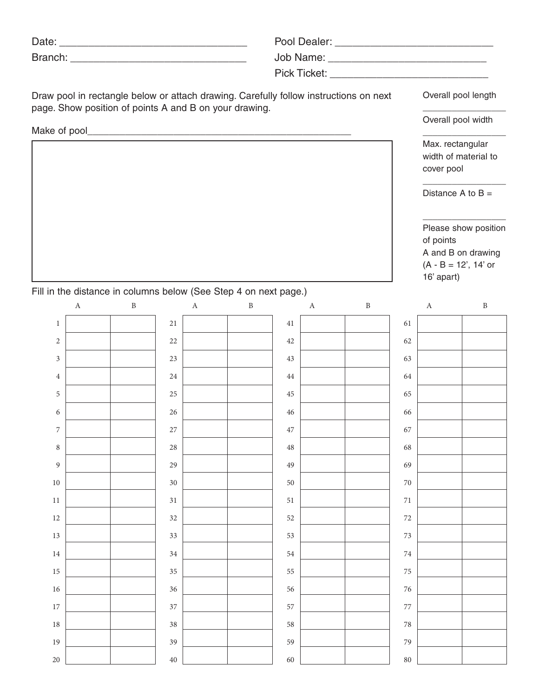| Draw pool in rectangle below or attach drawing. Carefully follow instructions on next<br>page. Show position of points A and B on your drawing. | Overall pool length |                                                                                                               |  |  |  |  |
|-------------------------------------------------------------------------------------------------------------------------------------------------|---------------------|---------------------------------------------------------------------------------------------------------------|--|--|--|--|
|                                                                                                                                                 | Overall pool width  |                                                                                                               |  |  |  |  |
|                                                                                                                                                 |                     |                                                                                                               |  |  |  |  |
|                                                                                                                                                 |                     | Max. rectangular<br>width of material to<br>cover pool                                                        |  |  |  |  |
|                                                                                                                                                 |                     | Distance A to $B =$                                                                                           |  |  |  |  |
|                                                                                                                                                 |                     | Please show position<br>of points<br>A and B on drawing<br>$(A - B = 12^{\circ}, 14^{\circ}$ or<br>16' apart) |  |  |  |  |

## Fill in the distance in columns below (See Step 4 on next page.)

|                  | A | $\mathbf{B}$ |        | A | $\mathbf{B}$ |             | A | $\mathbf{B}$ |        | $\boldsymbol{A}$ | $\boldsymbol{B}$ |
|------------------|---|--------------|--------|---|--------------|-------------|---|--------------|--------|------------------|------------------|
| $\,1\,$          |   |              | $21\,$ |   |              | $41\,$      |   |              | 61     |                  |                  |
| $\sqrt{2}$       |   |              | $22\,$ |   |              | 42          |   |              | 62     |                  |                  |
| $\mathfrak z$    |   |              | $23\,$ |   |              | 43          |   |              | 63     |                  |                  |
| $\,4\,$          |   |              | $24\,$ |   |              | $44\,$      |   |              | 64     |                  |                  |
| $\mathfrak s$    |   |              | $25\,$ |   |              | $45\,$      |   |              | 65     |                  |                  |
| $\sqrt{6}$       |   |              | $26\,$ |   |              | $46\,$      |   |              | 66     |                  |                  |
| $\boldsymbol{7}$ |   |              | $27\,$ |   |              | 47          |   |              | 67     |                  |                  |
| $\,8\,$          |   |              | $28\,$ |   |              | $\sqrt{48}$ |   |              | 68     |                  |                  |
| $\overline{9}$   |   |              | $29\,$ |   |              | 49          |   |              | 69     |                  |                  |
| $10\,$           |   |              | 30     |   |              | 50          |   |              | $70\,$ |                  |                  |
| $11\,$           |   |              | $31\,$ |   |              | $51\,$      |   |              | $71\,$ |                  |                  |
| $12\,$           |   |              | 32     |   |              | $52\,$      |   |              | $72\,$ |                  |                  |
| $13\,$           |   |              | 33     |   |              | 53          |   |              | 73     |                  |                  |
| $14\,$           |   |              | $34\,$ |   |              | $54\,$      |   |              | $74\,$ |                  |                  |
| $15\,$           |   |              | $35\,$ |   |              | 55          |   |              | 75     |                  |                  |
| $16\,$           |   |              | $36\,$ |   |              | 56          |   |              | 76     |                  |                  |
| $17\,$           |   |              | 37     |   |              | 57          |   |              | 77     |                  |                  |
| $18\,$           |   |              | $38\,$ |   |              | 58          |   |              | 78     |                  |                  |
| 19               |   |              | 39     |   |              | 59          |   |              | 79     |                  |                  |
| $20\,$           |   |              | $40\,$ |   |              | 60          |   |              | 80     |                  |                  |